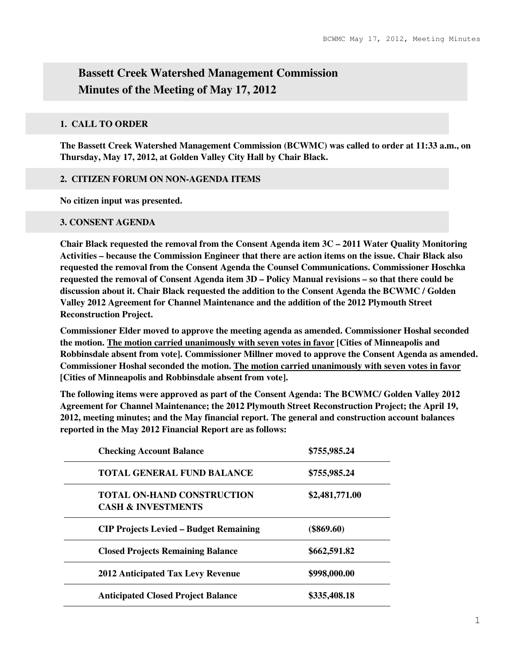# **Bassett Creek Watershed Management Commission Minutes of the Meeting of May 17, 2012**

## **1. CALL TO ORDER**

**The Bassett Creek Watershed Management Commission (BCWMC) was called to order at 11:33 a.m., on Thursday, May 17, 2012, at Golden Valley City Hall by Chair Black.** 

## **2. CITIZEN FORUM ON NON-AGENDA ITEMS**

**No citizen input was presented.** 

## **3. CONSENT AGENDA**

**Chair Black requested the removal from the Consent Agenda item 3C – 2011 Water Quality Monitoring Activities – because the Commission Engineer that there are action items on the issue. Chair Black also requested the removal from the Consent Agenda the Counsel Communications. Commissioner Hoschka requested the removal of Consent Agenda item 3D – Policy Manual revisions – so that there could be discussion about it. Chair Black requested the addition to the Consent Agenda the BCWMC / Golden Valley 2012 Agreement for Channel Maintenance and the addition of the 2012 Plymouth Street Reconstruction Project.** 

**Commissioner Elder moved to approve the meeting agenda as amended. Commissioner Hoshal seconded the motion. The motion carried unanimously with seven votes in favor [Cities of Minneapolis and Robbinsdale absent from vote]. Commissioner Millner moved to approve the Consent Agenda as amended. Commissioner Hoshal seconded the motion. The motion carried unanimously with seven votes in favor [Cities of Minneapolis and Robbinsdale absent from vote].** 

**The following items were approved as part of the Consent Agenda: The BCWMC/ Golden Valley 2012 Agreement for Channel Maintenance; the 2012 Plymouth Street Reconstruction Project; the April 19, 2012, meeting minutes; and the May financial report. The general and construction account balances reported in the May 2012 Financial Report are as follows:** 

| <b>Checking Account Balance</b>                                    | \$755,985.24   |  |
|--------------------------------------------------------------------|----------------|--|
| <b>TOTAL GENERAL FUND BALANCE</b>                                  | \$755,985.24   |  |
| <b>TOTAL ON-HAND CONSTRUCTION</b><br><b>CASH &amp; INVESTMENTS</b> | \$2,481,771.00 |  |
| <b>CIP Projects Levied – Budget Remaining</b>                      | $(\$869.60)$   |  |
| <b>Closed Projects Remaining Balance</b>                           | \$662,591.82   |  |
| <b>2012 Anticipated Tax Levy Revenue</b>                           | \$998,000.00   |  |
| <b>Anticipated Closed Project Balance</b>                          | \$335,408.18   |  |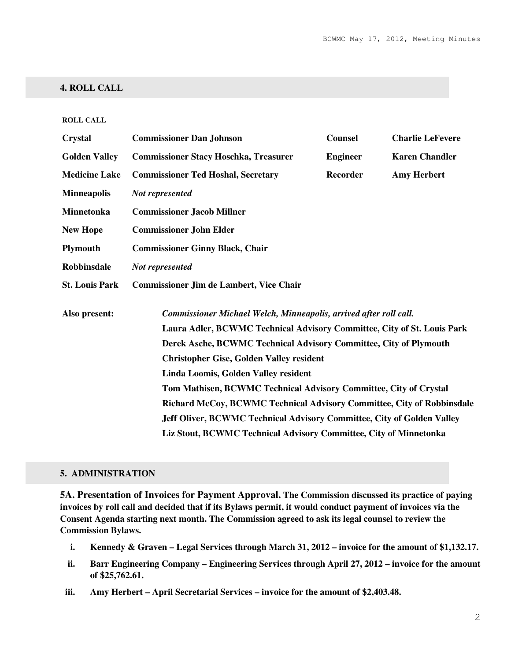## **4. ROLL CALL**

#### **ROLL CALL**

| <b>Crystal</b>        | <b>Commissioner Dan Johnson</b>                                         | <b>Counsel</b>  | <b>Charlie LeFevere</b> |  |
|-----------------------|-------------------------------------------------------------------------|-----------------|-------------------------|--|
| <b>Golden Valley</b>  | <b>Commissioner Stacy Hoschka, Treasurer</b>                            | <b>Engineer</b> | <b>Karen Chandler</b>   |  |
| <b>Medicine Lake</b>  | <b>Commissioner Ted Hoshal, Secretary</b>                               | <b>Recorder</b> | <b>Amy Herbert</b>      |  |
| <b>Minneapolis</b>    | Not represented                                                         |                 |                         |  |
| <b>Minnetonka</b>     | <b>Commissioner Jacob Millner</b>                                       |                 |                         |  |
| <b>New Hope</b>       | <b>Commissioner John Elder</b>                                          |                 |                         |  |
| <b>Plymouth</b>       | <b>Commissioner Ginny Black, Chair</b>                                  |                 |                         |  |
| <b>Robbinsdale</b>    | Not represented                                                         |                 |                         |  |
| <b>St. Louis Park</b> | <b>Commissioner Jim de Lambert, Vice Chair</b>                          |                 |                         |  |
| Also present:         | Commissioner Michael Welch, Minneapolis, arrived after roll call.       |                 |                         |  |
|                       | Laura Adler, BCWMC Technical Advisory Committee, City of St. Louis Park |                 |                         |  |
|                       | Derek Asche, BCWMC Technical Advisory Committee, City of Plymouth       |                 |                         |  |
|                       | <b>Christopher Gise, Golden Valley resident</b>                         |                 |                         |  |
|                       | Linda Loomis, Golden Valley resident                                    |                 |                         |  |
|                       | Tom Mathisen, BCWMC Technical Advisory Committee, City of Crystal       |                 |                         |  |
|                       | Richard McCoy, BCWMC Technical Advisory Committee, City of Robbinsdale  |                 |                         |  |
|                       | Jeff Oliver, BCWMC Technical Advisory Committee, City of Golden Valley  |                 |                         |  |
|                       | Liz Stout, BCWMC Technical Advisory Committee, City of Minnetonka       |                 |                         |  |

#### **5. ADMINISTRATION**

**5A. Presentation of Invoices for Payment Approval. The Commission discussed its practice of paying invoices by roll call and decided that if its Bylaws permit, it would conduct payment of invoices via the Consent Agenda starting next month. The Commission agreed to ask its legal counsel to review the Commission Bylaws.** 

- **i. Kennedy & Graven Legal Services through March 31, 2012 invoice for the amount of \$1,132.17.**
- **ii. Barr Engineering Company Engineering Services through April 27, 2012 invoice for the amount of \$25,762.61.**
- **iii. Amy Herbert April Secretarial Services invoice for the amount of \$2,403.48.**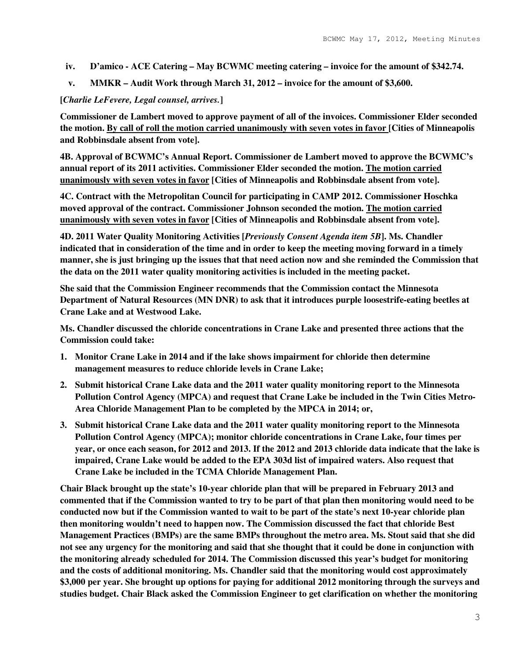- **iv. D'amico ACE Catering May BCWMC meeting catering invoice for the amount of \$342.74.**
- **v. MMKR Audit Work through March 31, 2012 invoice for the amount of \$3,600.**

## **[***Charlie LeFevere, Legal counsel, arrives.***]**

**Commissioner de Lambert moved to approve payment of all of the invoices. Commissioner Elder seconded the motion. By call of roll the motion carried unanimously with seven votes in favor [Cities of Minneapolis and Robbinsdale absent from vote].** 

**4B. Approval of BCWMC's Annual Report. Commissioner de Lambert moved to approve the BCWMC's annual report of its 2011 activities. Commissioner Elder seconded the motion. The motion carried unanimously with seven votes in favor [Cities of Minneapolis and Robbinsdale absent from vote].** 

**4C. Contract with the Metropolitan Council for participating in CAMP 2012. Commissioner Hoschka moved approval of the contract. Commissioner Johnson seconded the motion. The motion carried unanimously with seven votes in favor [Cities of Minneapolis and Robbinsdale absent from vote].** 

**4D. 2011 Water Quality Monitoring Activities [***Previously Consent Agenda item 5B***]. Ms. Chandler indicated that in consideration of the time and in order to keep the meeting moving forward in a timely manner, she is just bringing up the issues that that need action now and she reminded the Commission that the data on the 2011 water quality monitoring activities is included in the meeting packet.** 

**She said that the Commission Engineer recommends that the Commission contact the Minnesota Department of Natural Resources (MN DNR) to ask that it introduces purple loosestrife-eating beetles at Crane Lake and at Westwood Lake.** 

**Ms. Chandler discussed the chloride concentrations in Crane Lake and presented three actions that the Commission could take:** 

- **1. Monitor Crane Lake in 2014 and if the lake shows impairment for chloride then determine management measures to reduce chloride levels in Crane Lake;**
- **2. Submit historical Crane Lake data and the 2011 water quality monitoring report to the Minnesota Pollution Control Agency (MPCA) and request that Crane Lake be included in the Twin Cities Metro-Area Chloride Management Plan to be completed by the MPCA in 2014; or,**
- **3. Submit historical Crane Lake data and the 2011 water quality monitoring report to the Minnesota Pollution Control Agency (MPCA); monitor chloride concentrations in Crane Lake, four times per year, or once each season, for 2012 and 2013. If the 2012 and 2013 chloride data indicate that the lake is impaired, Crane Lake would be added to the EPA 303d list of impaired waters. Also request that Crane Lake be included in the TCMA Chloride Management Plan.**

**Chair Black brought up the state's 10-year chloride plan that will be prepared in February 2013 and commented that if the Commission wanted to try to be part of that plan then monitoring would need to be conducted now but if the Commission wanted to wait to be part of the state's next 10-year chloride plan then monitoring wouldn't need to happen now. The Commission discussed the fact that chloride Best Management Practices (BMPs) are the same BMPs throughout the metro area. Ms. Stout said that she did not see any urgency for the monitoring and said that she thought that it could be done in conjunction with the monitoring already scheduled for 2014. The Commission discussed this year's budget for monitoring and the costs of additional monitoring. Ms. Chandler said that the monitoring would cost approximately \$3,000 per year. She brought up options for paying for additional 2012 monitoring through the surveys and studies budget. Chair Black asked the Commission Engineer to get clarification on whether the monitoring**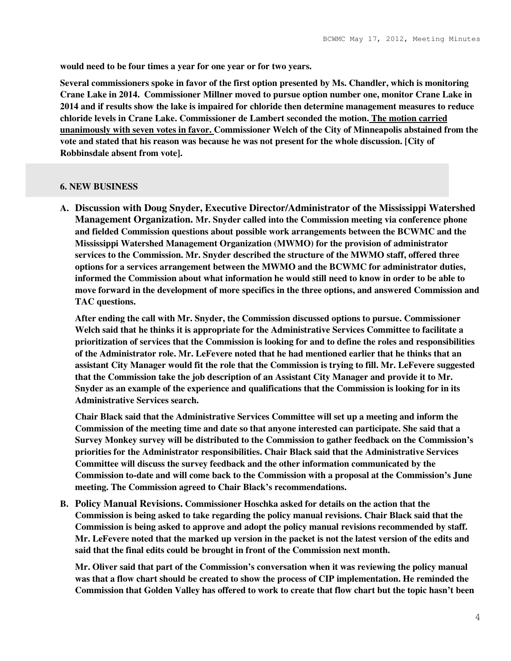**would need to be four times a year for one year or for two years.** 

**Several commissioners spoke in favor of the first option presented by Ms. Chandler, which is monitoring Crane Lake in 2014. Commissioner Millner moved to pursue option number one, monitor Crane Lake in 2014 and if results show the lake is impaired for chloride then determine management measures to reduce chloride levels in Crane Lake. Commissioner de Lambert seconded the motion. The motion carried unanimously with seven votes in favor. Commissioner Welch of the City of Minneapolis abstained from the vote and stated that his reason was because he was not present for the whole discussion. [City of Robbinsdale absent from vote].** 

### **6. NEW BUSINESS**

**A. Discussion with Doug Snyder, Executive Director/Administrator of the Mississippi Watershed Management Organization. Mr. Snyder called into the Commission meeting via conference phone and fielded Commission questions about possible work arrangements between the BCWMC and the Mississippi Watershed Management Organization (MWMO) for the provision of administrator services to the Commission. Mr. Snyder described the structure of the MWMO staff, offered three options for a services arrangement between the MWMO and the BCWMC for administrator duties, informed the Commission about what information he would still need to know in order to be able to move forward in the development of more specifics in the three options, and answered Commission and TAC questions.** 

**After ending the call with Mr. Snyder, the Commission discussed options to pursue. Commissioner Welch said that he thinks it is appropriate for the Administrative Services Committee to facilitate a prioritization of services that the Commission is looking for and to define the roles and responsibilities of the Administrator role. Mr. LeFevere noted that he had mentioned earlier that he thinks that an assistant City Manager would fit the role that the Commission is trying to fill. Mr. LeFevere suggested that the Commission take the job description of an Assistant City Manager and provide it to Mr. Snyder as an example of the experience and qualifications that the Commission is looking for in its Administrative Services search.** 

**Chair Black said that the Administrative Services Committee will set up a meeting and inform the Commission of the meeting time and date so that anyone interested can participate. She said that a Survey Monkey survey will be distributed to the Commission to gather feedback on the Commission's priorities for the Administrator responsibilities. Chair Black said that the Administrative Services Committee will discuss the survey feedback and the other information communicated by the Commission to-date and will come back to the Commission with a proposal at the Commission's June meeting. The Commission agreed to Chair Black's recommendations.** 

**B. Policy Manual Revisions. Commissioner Hoschka asked for details on the action that the Commission is being asked to take regarding the policy manual revisions. Chair Black said that the Commission is being asked to approve and adopt the policy manual revisions recommended by staff. Mr. LeFevere noted that the marked up version in the packet is not the latest version of the edits and said that the final edits could be brought in front of the Commission next month.** 

**Mr. Oliver said that part of the Commission's conversation when it was reviewing the policy manual was that a flow chart should be created to show the process of CIP implementation. He reminded the Commission that Golden Valley has offered to work to create that flow chart but the topic hasn't been**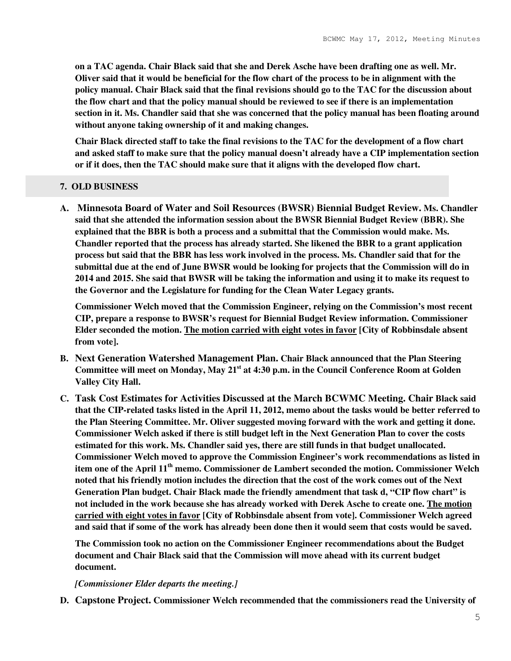**on a TAC agenda. Chair Black said that she and Derek Asche have been drafting one as well. Mr. Oliver said that it would be beneficial for the flow chart of the process to be in alignment with the policy manual. Chair Black said that the final revisions should go to the TAC for the discussion about the flow chart and that the policy manual should be reviewed to see if there is an implementation section in it. Ms. Chandler said that she was concerned that the policy manual has been floating around without anyone taking ownership of it and making changes.** 

**Chair Black directed staff to take the final revisions to the TAC for the development of a flow chart and asked staff to make sure that the policy manual doesn't already have a CIP implementation section or if it does, then the TAC should make sure that it aligns with the developed flow chart.** 

## **7. OLD BUSINESS**

**A. Minnesota Board of Water and Soil Resources (BWSR) Biennial Budget Review. Ms. Chandler said that she attended the information session about the BWSR Biennial Budget Review (BBR). She explained that the BBR is both a process and a submittal that the Commission would make. Ms. Chandler reported that the process has already started. She likened the BBR to a grant application process but said that the BBR has less work involved in the process. Ms. Chandler said that for the submittal due at the end of June BWSR would be looking for projects that the Commission will do in 2014 and 2015. She said that BWSR will be taking the information and using it to make its request to the Governor and the Legislature for funding for the Clean Water Legacy grants.** 

**Commissioner Welch moved that the Commission Engineer, relying on the Commission's most recent CIP, prepare a response to BWSR's request for Biennial Budget Review information. Commissioner Elder seconded the motion. The motion carried with eight votes in favor [City of Robbinsdale absent from vote].** 

- **B. Next Generation Watershed Management Plan. Chair Black announced that the Plan Steering Committee will meet on Monday, May 21st at 4:30 p.m. in the Council Conference Room at Golden Valley City Hall.**
- **C. Task Cost Estimates for Activities Discussed at the March BCWMC Meeting. Chair Black said that the CIP-related tasks listed in the April 11, 2012, memo about the tasks would be better referred to the Plan Steering Committee. Mr. Oliver suggested moving forward with the work and getting it done. Commissioner Welch asked if there is still budget left in the Next Generation Plan to cover the costs estimated for this work. Ms. Chandler said yes, there are still funds in that budget unallocated. Commissioner Welch moved to approve the Commission Engineer's work recommendations as listed in item one of the April 11th memo. Commissioner de Lambert seconded the motion. Commissioner Welch noted that his friendly motion includes the direction that the cost of the work comes out of the Next Generation Plan budget. Chair Black made the friendly amendment that task d, "CIP flow chart" is not included in the work because she has already worked with Derek Asche to create one. The motion carried with eight votes in favor [City of Robbinsdale absent from vote]. Commissioner Welch agreed and said that if some of the work has already been done then it would seem that costs would be saved.**

**The Commission took no action on the Commissioner Engineer recommendations about the Budget document and Chair Black said that the Commission will move ahead with its current budget document.** 

## *[Commissioner Elder departs the meeting.]*

**D. Capstone Project. Commissioner Welch recommended that the commissioners read the University of**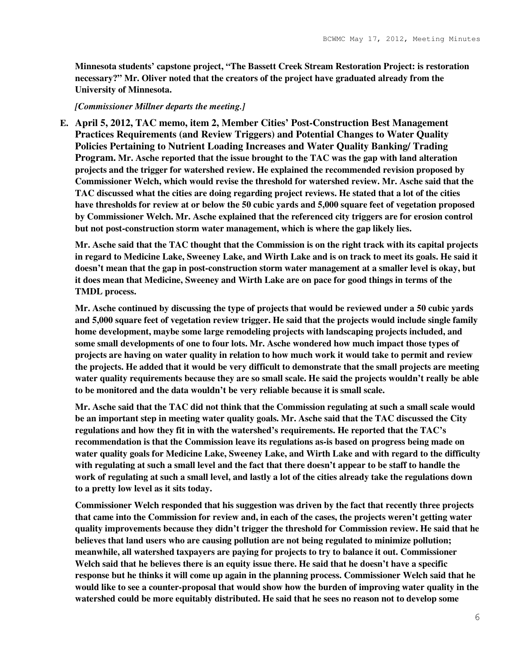**Minnesota students' capstone project, "The Bassett Creek Stream Restoration Project: is restoration necessary?" Mr. Oliver noted that the creators of the project have graduated already from the University of Minnesota.** 

### *[Commissioner Millner departs the meeting.]*

**E. April 5, 2012, TAC memo, item 2, Member Cities' Post-Construction Best Management Practices Requirements (and Review Triggers) and Potential Changes to Water Quality Policies Pertaining to Nutrient Loading Increases and Water Quality Banking/ Trading Program. Mr. Asche reported that the issue brought to the TAC was the gap with land alteration projects and the trigger for watershed review. He explained the recommended revision proposed by Commissioner Welch, which would revise the threshold for watershed review. Mr. Asche said that the TAC discussed what the cities are doing regarding project reviews. He stated that a lot of the cities have thresholds for review at or below the 50 cubic yards and 5,000 square feet of vegetation proposed by Commissioner Welch. Mr. Asche explained that the referenced city triggers are for erosion control but not post-construction storm water management, which is where the gap likely lies.** 

**Mr. Asche said that the TAC thought that the Commission is on the right track with its capital projects in regard to Medicine Lake, Sweeney Lake, and Wirth Lake and is on track to meet its goals. He said it doesn't mean that the gap in post-construction storm water management at a smaller level is okay, but it does mean that Medicine, Sweeney and Wirth Lake are on pace for good things in terms of the TMDL process.** 

**Mr. Asche continued by discussing the type of projects that would be reviewed under a 50 cubic yards and 5,000 square feet of vegetation review trigger. He said that the projects would include single family home development, maybe some large remodeling projects with landscaping projects included, and some small developments of one to four lots. Mr. Asche wondered how much impact those types of projects are having on water quality in relation to how much work it would take to permit and review the projects. He added that it would be very difficult to demonstrate that the small projects are meeting water quality requirements because they are so small scale. He said the projects wouldn't really be able to be monitored and the data wouldn't be very reliable because it is small scale.** 

**Mr. Asche said that the TAC did not think that the Commission regulating at such a small scale would be an important step in meeting water quality goals. Mr. Asche said that the TAC discussed the City regulations and how they fit in with the watershed's requirements. He reported that the TAC's recommendation is that the Commission leave its regulations as-is based on progress being made on water quality goals for Medicine Lake, Sweeney Lake, and Wirth Lake and with regard to the difficulty with regulating at such a small level and the fact that there doesn't appear to be staff to handle the work of regulating at such a small level, and lastly a lot of the cities already take the regulations down to a pretty low level as it sits today.** 

**Commissioner Welch responded that his suggestion was driven by the fact that recently three projects that came into the Commission for review and, in each of the cases, the projects weren't getting water quality improvements because they didn't trigger the threshold for Commission review. He said that he believes that land users who are causing pollution are not being regulated to minimize pollution; meanwhile, all watershed taxpayers are paying for projects to try to balance it out. Commissioner Welch said that he believes there is an equity issue there. He said that he doesn't have a specific response but he thinks it will come up again in the planning process. Commissioner Welch said that he would like to see a counter-proposal that would show how the burden of improving water quality in the watershed could be more equitably distributed. He said that he sees no reason not to develop some**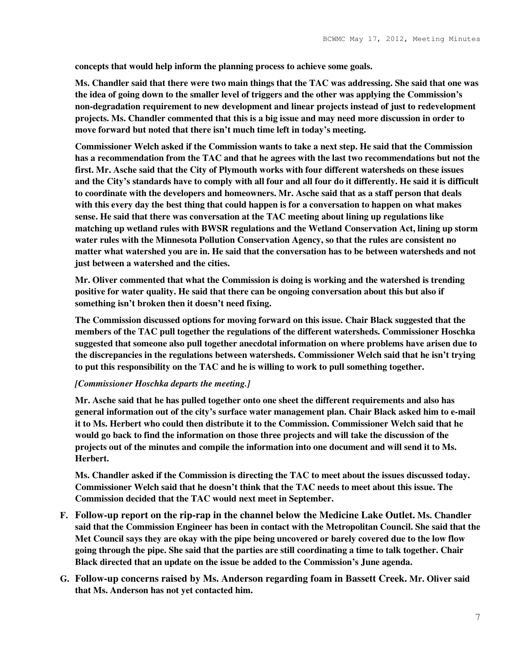**concepts that would help inform the planning process to achieve some goals.** 

**Ms. Chandler said that there were two main things that the TAC was addressing. She said that one was the idea of going down to the smaller level of triggers and the other was applying the Commission's non-degradation requirement to new development and linear projects instead of just to redevelopment projects. Ms. Chandler commented that this is a big issue and may need more discussion in order to move forward but noted that there isn't much time left in today's meeting.** 

**Commissioner Welch asked if the Commission wants to take a next step. He said that the Commission has a recommendation from the TAC and that he agrees with the last two recommendations but not the first. Mr. Asche said that the City of Plymouth works with four different watersheds on these issues and the City's standards have to comply with all four and all four do it differently. He said it is difficult to coordinate with the developers and homeowners. Mr. Asche said that as a staff person that deals with this every day the best thing that could happen is for a conversation to happen on what makes sense. He said that there was conversation at the TAC meeting about lining up regulations like matching up wetland rules with BWSR regulations and the Wetland Conservation Act, lining up storm water rules with the Minnesota Pollution Conservation Agency, so that the rules are consistent no matter what watershed you are in. He said that the conversation has to be between watersheds and not just between a watershed and the cities.** 

**Mr. Oliver commented that what the Commission is doing is working and the watershed is trending positive for water quality. He said that there can be ongoing conversation about this but also if something isn't broken then it doesn't need fixing.** 

**The Commission discussed options for moving forward on this issue. Chair Black suggested that the members of the TAC pull together the regulations of the different watersheds. Commissioner Hoschka suggested that someone also pull together anecdotal information on where problems have arisen due to the discrepancies in the regulations between watersheds. Commissioner Welch said that he isn't trying to put this responsibility on the TAC and he is willing to work to pull something together.** 

## *[Commissioner Hoschka departs the meeting.]*

**Mr. Asche said that he has pulled together onto one sheet the different requirements and also has general information out of the city's surface water management plan. Chair Black asked him to e-mail it to Ms. Herbert who could then distribute it to the Commission. Commissioner Welch said that he would go back to find the information on those three projects and will take the discussion of the projects out of the minutes and compile the information into one document and will send it to Ms. Herbert.** 

**Ms. Chandler asked if the Commission is directing the TAC to meet about the issues discussed today. Commissioner Welch said that he doesn't think that the TAC needs to meet about this issue. The Commission decided that the TAC would next meet in September.** 

- **F. Follow-up report on the rip-rap in the channel below the Medicine Lake Outlet. Ms. Chandler said that the Commission Engineer has been in contact with the Metropolitan Council. She said that the Met Council says they are okay with the pipe being uncovered or barely covered due to the low flow going through the pipe. She said that the parties are still coordinating a time to talk together. Chair Black directed that an update on the issue be added to the Commission's June agenda.**
- **G. Follow-up concerns raised by Ms. Anderson regarding foam in Bassett Creek. Mr. Oliver said that Ms. Anderson has not yet contacted him.**